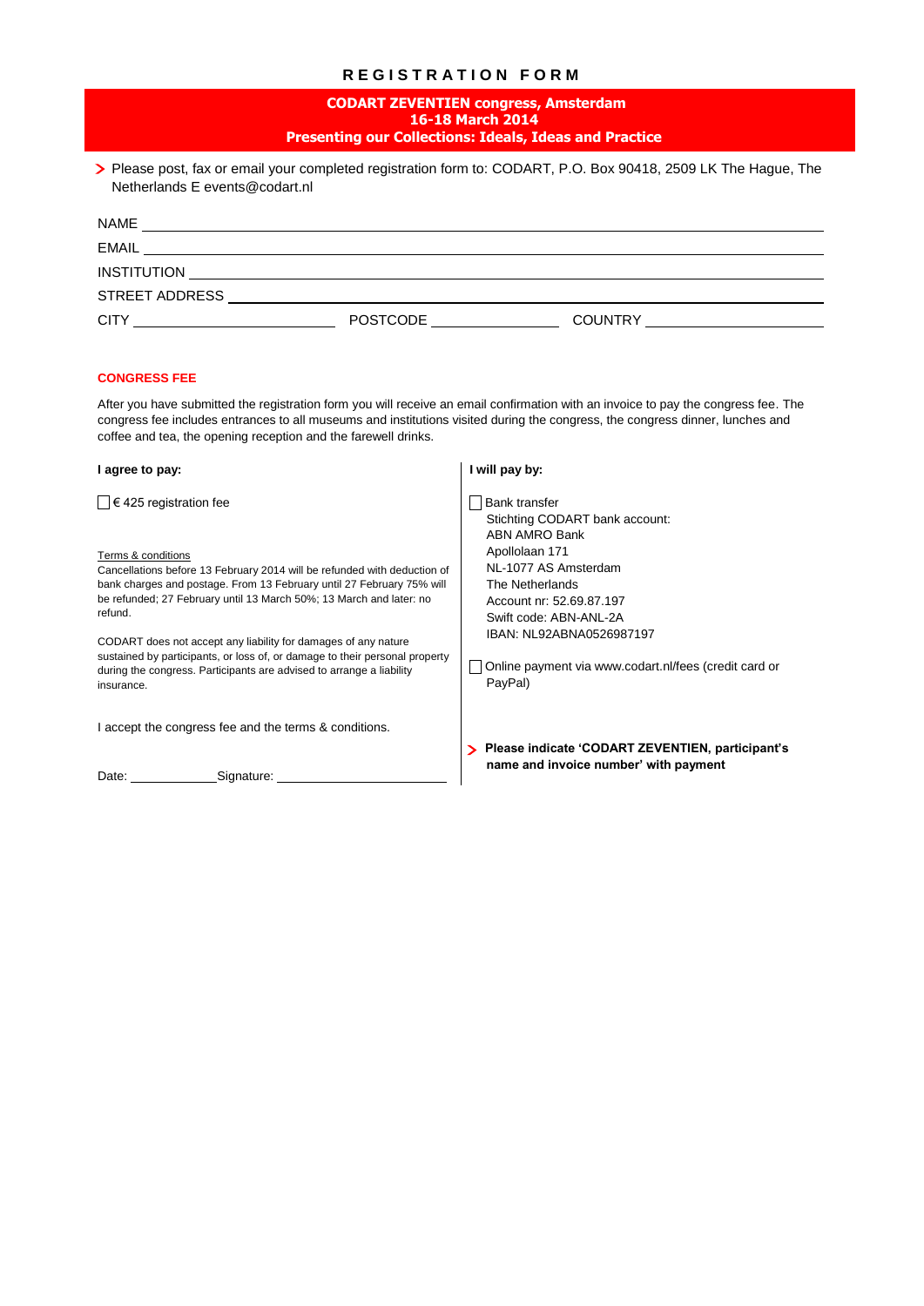# **R E G I S T R A T I O N F O R M**

| <b>CODART ZEVENTIEN congress, Amsterdam</b><br>16-18 March 2014<br><b>Presenting our Collections: Ideals, Ideas and Practice</b>                                                                                                                                                                                                                             |                                                                                                                 |  |
|--------------------------------------------------------------------------------------------------------------------------------------------------------------------------------------------------------------------------------------------------------------------------------------------------------------------------------------------------------------|-----------------------------------------------------------------------------------------------------------------|--|
| > Please post, fax or email your completed registration form to: CODART, P.O. Box 90418, 2509 LK The Hague, The<br>Netherlands E events@codart.nl                                                                                                                                                                                                            |                                                                                                                 |  |
|                                                                                                                                                                                                                                                                                                                                                              |                                                                                                                 |  |
|                                                                                                                                                                                                                                                                                                                                                              |                                                                                                                 |  |
|                                                                                                                                                                                                                                                                                                                                                              |                                                                                                                 |  |
|                                                                                                                                                                                                                                                                                                                                                              |                                                                                                                 |  |
| <b>CONGRESS FEE</b><br>After you have submitted the registration form you will receive an email confirmation with an invoice to pay the congress fee. The<br>congress fee includes entrances to all museums and institutions visited during the congress, the congress dinner, lunches and<br>coffee and tea, the opening reception and the farewell drinks. |                                                                                                                 |  |
| I agree to pay:                                                                                                                                                                                                                                                                                                                                              | I will pay by:                                                                                                  |  |
| $\Box$ € 425 registration fee                                                                                                                                                                                                                                                                                                                                | Bank transfer<br>Stichting CODART bank account:<br><b>ABN AMRO Bank</b>                                         |  |
| Terms & conditions<br>Cancellations before 13 February 2014 will be refunded with deduction of<br>bank charges and postage. From 13 February until 27 February 75% will<br>be refunded; 27 February until 13 March 50%; 13 March and later: no<br>refund.                                                                                                    | Apollolaan 171<br>NL-1077 AS Amsterdam<br>The Netherlands<br>Account nr: 52.69.87.197<br>Swift code: ABN-ANL-2A |  |
| CODART does not accept any liability for damages of any nature<br>sustained by participants, or loss of, or damage to their personal property<br>during the congress. Participants are advised to arrange a liability<br>insurance.                                                                                                                          | IBAN: NL92ABNA0526987197<br>Online payment via www.codart.nl/fees (credit card or<br>PayPal)                    |  |
| I accept the congress fee and the terms & conditions.                                                                                                                                                                                                                                                                                                        |                                                                                                                 |  |

Date: Signature: \_\_\_\_\_\_

 **Please indicate 'CODART ZEVENTIEN, participant's name and invoice number' with payment**